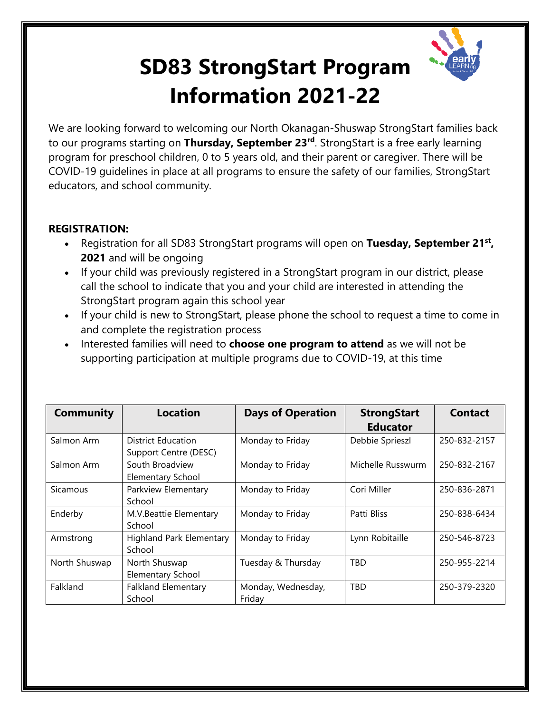

## **SD83 StrongStart Program Information 2021-22**

We are looking forward to welcoming our North Okanagan-Shuswap StrongStart families back to our programs starting on **Thursday, September 23rd**. StrongStart is a free early learning program for preschool children, 0 to 5 years old, and their parent or caregiver. There will be COVID-19 guidelines in place at all programs to ensure the safety of our families, StrongStart educators, and school community.

## **REGISTRATION:**

- Registration for all SD83 StrongStart programs will open on **Tuesday, September 21st, 2021** and will be ongoing
- If your child was previously registered in a StrongStart program in our district, please call the school to indicate that you and your child are interested in attending the StrongStart program again this school year
- If your child is new to StrongStart, please phone the school to request a time to come in and complete the registration process
- Interested families will need to **choose one program to attend** as we will not be supporting participation at multiple programs due to COVID-19, at this time

| <b>Community</b> | <b>Location</b>                                    | <b>Days of Operation</b>     | <b>StrongStart</b><br><b>Educator</b> | <b>Contact</b> |
|------------------|----------------------------------------------------|------------------------------|---------------------------------------|----------------|
| Salmon Arm       | <b>District Education</b><br>Support Centre (DESC) | Monday to Friday             | Debbie Sprieszl                       | 250-832-2157   |
| Salmon Arm       | South Broadview<br><b>Elementary School</b>        | Monday to Friday             | Michelle Russwurm                     | 250-832-2167   |
| Sicamous         | Parkview Elementary<br>School                      | Monday to Friday             | Cori Miller                           | 250-836-2871   |
| Enderby          | M.V.Beattie Elementary<br>School                   | Monday to Friday             | Patti Bliss                           | 250-838-6434   |
| Armstrong        | <b>Highland Park Elementary</b><br>School          | Monday to Friday             | Lynn Robitaille                       | 250-546-8723   |
| North Shuswap    | North Shuswap<br><b>Elementary School</b>          | Tuesday & Thursday           | <b>TBD</b>                            | 250-955-2214   |
| Falkland         | <b>Falkland Elementary</b><br>School               | Monday, Wednesday,<br>Friday | <b>TBD</b>                            | 250-379-2320   |